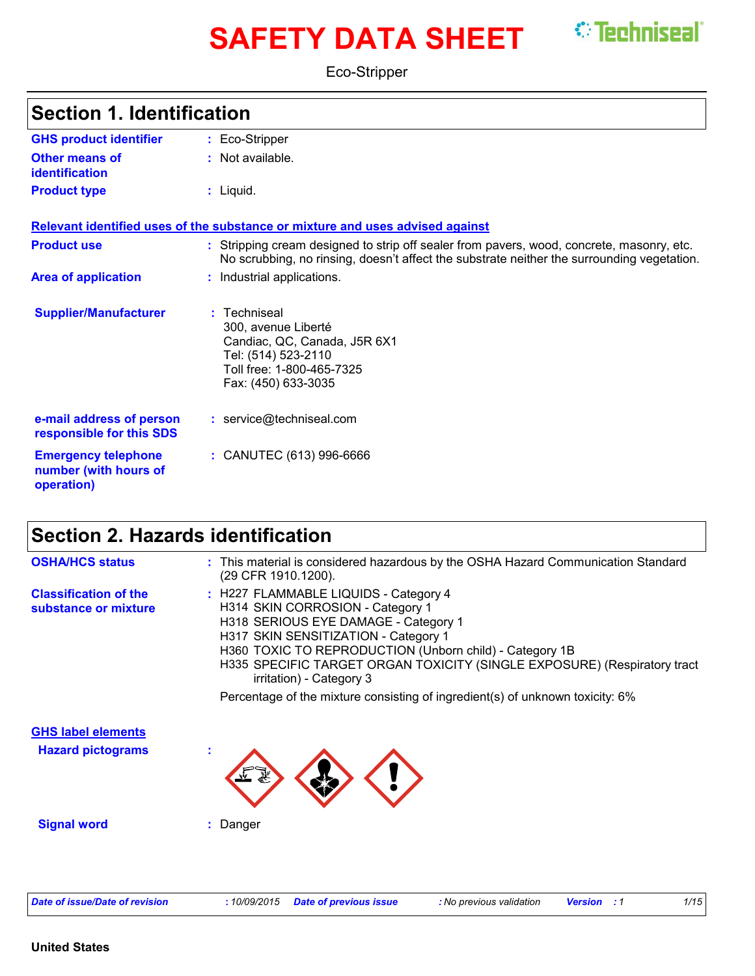# **SAFETY DATA SHEET** *C* Techniseal

Eco-Stripper

| <b>Section 1. Identification</b>                                  |                                                                                                                                                                                       |
|-------------------------------------------------------------------|---------------------------------------------------------------------------------------------------------------------------------------------------------------------------------------|
| <b>GHS product identifier</b>                                     | : Eco-Stripper                                                                                                                                                                        |
| Other means of<br>identification                                  | $:$ Not available.                                                                                                                                                                    |
| <b>Product type</b>                                               | : Liquid.                                                                                                                                                                             |
|                                                                   | Relevant identified uses of the substance or mixture and uses advised against                                                                                                         |
| <b>Product use</b>                                                | Stripping cream designed to strip off sealer from pavers, wood, concrete, masonry, etc.<br>No scrubbing, no rinsing, doesn't affect the substrate neither the surrounding vegetation. |
| <b>Area of application</b>                                        | : Industrial applications.                                                                                                                                                            |
| <b>Supplier/Manufacturer</b>                                      | : Techniseal<br>300, avenue Liberté<br>Candiac, QC, Canada, J5R 6X1<br>Tel: (514) 523-2110<br>Toll free: 1-800-465-7325<br>Fax: (450) 633-3035                                        |
| e-mail address of person<br>responsible for this SDS              | : service@techniseal.com                                                                                                                                                              |
| <b>Emergency telephone</b><br>number (with hours of<br>operation) | : CANUTEC (613) 996-6666                                                                                                                                                              |

### **Section 2. Hazards identification**

| <b>OSHA/HCS status</b>                               | : This material is considered hazardous by the OSHA Hazard Communication Standard<br>(29 CFR 1910.1200).                                                                                                                                                                                                                     |
|------------------------------------------------------|------------------------------------------------------------------------------------------------------------------------------------------------------------------------------------------------------------------------------------------------------------------------------------------------------------------------------|
| <b>Classification of the</b><br>substance or mixture | : H227 FLAMMABLE LIQUIDS - Category 4<br>H314 SKIN CORROSION - Category 1<br>H318 SERIOUS EYE DAMAGE - Category 1<br>H317 SKIN SENSITIZATION - Category 1<br>H360 TOXIC TO REPRODUCTION (Unborn child) - Category 1B<br>H335 SPECIFIC TARGET ORGAN TOXICITY (SINGLE EXPOSURE) (Respiratory tract<br>irritation) - Category 3 |
|                                                      | Percentage of the mixture consisting of ingredient(s) of unknown toxicity: 6%                                                                                                                                                                                                                                                |
| <b>GHS label elements</b>                            |                                                                                                                                                                                                                                                                                                                              |
| <b>Hazard pictograms</b>                             | ٠                                                                                                                                                                                                                                                                                                                            |
| <b>Signal word</b>                                   | Danger                                                                                                                                                                                                                                                                                                                       |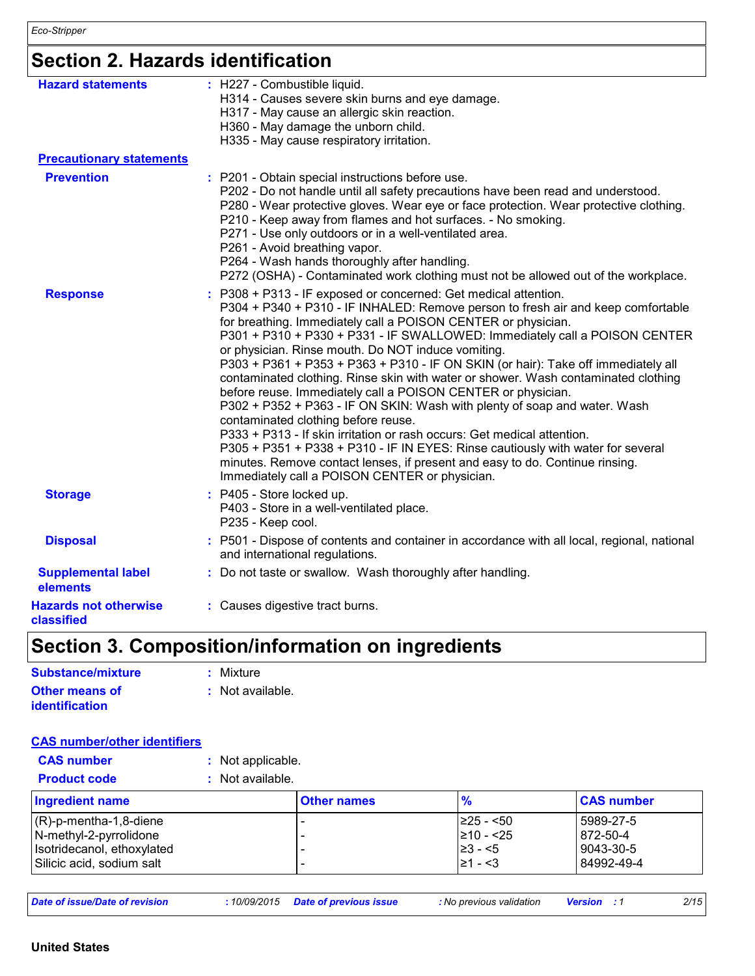## **Section 2. Hazards identification**

| <b>Hazard statements</b><br><b>Precautionary statements</b> | : H227 - Combustible liquid.<br>H314 - Causes severe skin burns and eye damage.<br>H317 - May cause an allergic skin reaction.<br>H360 - May damage the unborn child.<br>H335 - May cause respiratory irritation.                                                                                                                                                                                                                                                                                                                                                                                                                                                                                                                                                                                                                                                                                                                                                                                                       |
|-------------------------------------------------------------|-------------------------------------------------------------------------------------------------------------------------------------------------------------------------------------------------------------------------------------------------------------------------------------------------------------------------------------------------------------------------------------------------------------------------------------------------------------------------------------------------------------------------------------------------------------------------------------------------------------------------------------------------------------------------------------------------------------------------------------------------------------------------------------------------------------------------------------------------------------------------------------------------------------------------------------------------------------------------------------------------------------------------|
| <b>Prevention</b>                                           | : P201 - Obtain special instructions before use.<br>P202 - Do not handle until all safety precautions have been read and understood.<br>P280 - Wear protective gloves. Wear eye or face protection. Wear protective clothing.<br>P210 - Keep away from flames and hot surfaces. - No smoking.<br>P271 - Use only outdoors or in a well-ventilated area.<br>P261 - Avoid breathing vapor.<br>P264 - Wash hands thoroughly after handling.<br>P272 (OSHA) - Contaminated work clothing must not be allowed out of the workplace.                                                                                                                                                                                                                                                                                                                                                                                                                                                                                          |
| <b>Response</b>                                             | : P308 + P313 - IF exposed or concerned: Get medical attention.<br>P304 + P340 + P310 - IF INHALED: Remove person to fresh air and keep comfortable<br>for breathing. Immediately call a POISON CENTER or physician.<br>P301 + P310 + P330 + P331 - IF SWALLOWED: Immediately call a POISON CENTER<br>or physician. Rinse mouth. Do NOT induce vomiting.<br>P303 + P361 + P353 + P363 + P310 - IF ON SKIN (or hair): Take off immediately all<br>contaminated clothing. Rinse skin with water or shower. Wash contaminated clothing<br>before reuse. Immediately call a POISON CENTER or physician.<br>P302 + P352 + P363 - IF ON SKIN: Wash with plenty of soap and water. Wash<br>contaminated clothing before reuse.<br>P333 + P313 - If skin irritation or rash occurs: Get medical attention.<br>P305 + P351 + P338 + P310 - IF IN EYES: Rinse cautiously with water for several<br>minutes. Remove contact lenses, if present and easy to do. Continue rinsing.<br>Immediately call a POISON CENTER or physician. |
| <b>Storage</b>                                              | : P405 - Store locked up.<br>P403 - Store in a well-ventilated place.<br>P235 - Keep cool.                                                                                                                                                                                                                                                                                                                                                                                                                                                                                                                                                                                                                                                                                                                                                                                                                                                                                                                              |
| <b>Disposal</b>                                             | : P501 - Dispose of contents and container in accordance with all local, regional, national<br>and international regulations.                                                                                                                                                                                                                                                                                                                                                                                                                                                                                                                                                                                                                                                                                                                                                                                                                                                                                           |
| <b>Supplemental label</b><br>elements                       | : Do not taste or swallow. Wash thoroughly after handling.                                                                                                                                                                                                                                                                                                                                                                                                                                                                                                                                                                                                                                                                                                                                                                                                                                                                                                                                                              |
| <b>Hazards not otherwise</b><br>classified                  | : Causes digestive tract burns.                                                                                                                                                                                                                                                                                                                                                                                                                                                                                                                                                                                                                                                                                                                                                                                                                                                                                                                                                                                         |

## **Section 3. Composition/information on ingredients**

| <b>Substance/mixture</b> | : Mixture          |
|--------------------------|--------------------|
| Other means of           | $:$ Not available. |
| <b>identification</b>    |                    |

#### **CAS number/other identifiers**

| <b>CAS number</b><br><b>Product code</b>                                                                       | : Not applicable.<br>$:$ Not available. |                    |                                                           |                                                  |
|----------------------------------------------------------------------------------------------------------------|-----------------------------------------|--------------------|-----------------------------------------------------------|--------------------------------------------------|
| <b>Ingredient name</b>                                                                                         |                                         | <b>Other names</b> | $\frac{9}{6}$                                             | <b>CAS number</b>                                |
| $(R)-p$ -mentha-1,8-diene<br>N-methyl-2-pyrrolidone<br>Isotridecanol, ethoxylated<br>Silicic acid, sodium salt |                                         |                    | $ 225 - 50 $<br>210 - <25<br>$\geq 3 - 5$<br>$\geq 1 - 3$ | 5989-27-5<br>872-50-4<br>9043-30-5<br>84992-49-4 |

| 2/15<br>Date of issue/Date of revision<br><b>Date of previous issue</b><br>10/09/2015<br>: No previous validation<br><b>Version</b> |
|-------------------------------------------------------------------------------------------------------------------------------------|
|-------------------------------------------------------------------------------------------------------------------------------------|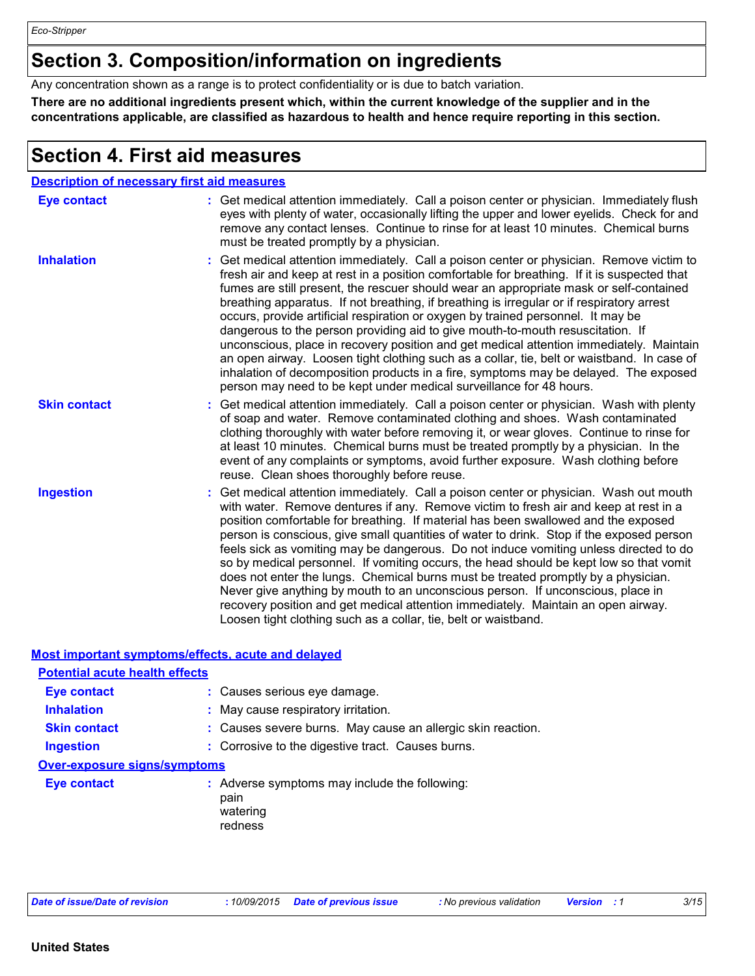*Eco-Stripper*

### **Section 3. Composition/information on ingredients**

Any concentration shown as a range is to protect confidentiality or is due to batch variation.

**There are no additional ingredients present which, within the current knowledge of the supplier and in the concentrations applicable, are classified as hazardous to health and hence require reporting in this section.**

### **Section 4. First aid measures**

| <b>Description of necessary first aid measures</b> |                                                                                                                                                                                                                                                                                                                                                                                                                                                                                                                                                                                                                                                                                                                                                                                                                                                                                                              |
|----------------------------------------------------|--------------------------------------------------------------------------------------------------------------------------------------------------------------------------------------------------------------------------------------------------------------------------------------------------------------------------------------------------------------------------------------------------------------------------------------------------------------------------------------------------------------------------------------------------------------------------------------------------------------------------------------------------------------------------------------------------------------------------------------------------------------------------------------------------------------------------------------------------------------------------------------------------------------|
| <b>Eye contact</b>                                 | : Get medical attention immediately. Call a poison center or physician. Immediately flush<br>eyes with plenty of water, occasionally lifting the upper and lower eyelids. Check for and<br>remove any contact lenses. Continue to rinse for at least 10 minutes. Chemical burns<br>must be treated promptly by a physician.                                                                                                                                                                                                                                                                                                                                                                                                                                                                                                                                                                                  |
| <b>Inhalation</b>                                  | : Get medical attention immediately. Call a poison center or physician. Remove victim to<br>fresh air and keep at rest in a position comfortable for breathing. If it is suspected that<br>fumes are still present, the rescuer should wear an appropriate mask or self-contained<br>breathing apparatus. If not breathing, if breathing is irregular or if respiratory arrest<br>occurs, provide artificial respiration or oxygen by trained personnel. It may be<br>dangerous to the person providing aid to give mouth-to-mouth resuscitation. If<br>unconscious, place in recovery position and get medical attention immediately. Maintain<br>an open airway. Loosen tight clothing such as a collar, tie, belt or waistband. In case of<br>inhalation of decomposition products in a fire, symptoms may be delayed. The exposed<br>person may need to be kept under medical surveillance for 48 hours. |
| <b>Skin contact</b>                                | : Get medical attention immediately. Call a poison center or physician. Wash with plenty<br>of soap and water. Remove contaminated clothing and shoes. Wash contaminated<br>clothing thoroughly with water before removing it, or wear gloves. Continue to rinse for<br>at least 10 minutes. Chemical burns must be treated promptly by a physician. In the<br>event of any complaints or symptoms, avoid further exposure. Wash clothing before<br>reuse. Clean shoes thoroughly before reuse.                                                                                                                                                                                                                                                                                                                                                                                                              |
| <b>Ingestion</b>                                   | : Get medical attention immediately. Call a poison center or physician. Wash out mouth<br>with water. Remove dentures if any. Remove victim to fresh air and keep at rest in a<br>position comfortable for breathing. If material has been swallowed and the exposed<br>person is conscious, give small quantities of water to drink. Stop if the exposed person<br>feels sick as vomiting may be dangerous. Do not induce vomiting unless directed to do<br>so by medical personnel. If vomiting occurs, the head should be kept low so that vomit<br>does not enter the lungs. Chemical burns must be treated promptly by a physician.<br>Never give anything by mouth to an unconscious person. If unconscious, place in<br>recovery position and get medical attention immediately. Maintain an open airway.<br>Loosen tight clothing such as a collar, tie, belt or waistband.                          |

#### **Most important symptoms/effects, acute and delayed**

| <b>Potential acute health effects</b> |                                                                              |
|---------------------------------------|------------------------------------------------------------------------------|
| <b>Eye contact</b>                    | : Causes serious eye damage.                                                 |
| <b>Inhalation</b>                     | : May cause respiratory irritation.                                          |
| <b>Skin contact</b>                   | : Causes severe burns. May cause an allergic skin reaction.                  |
| <b>Ingestion</b>                      | : Corrosive to the digestive tract. Causes burns.                            |
| <b>Over-exposure signs/symptoms</b>   |                                                                              |
| <b>Eye contact</b>                    | : Adverse symptoms may include the following:<br>pain<br>watering<br>redness |

| Date of issue/Date of revision |  |  |  |  |  |  |  |
|--------------------------------|--|--|--|--|--|--|--|
|--------------------------------|--|--|--|--|--|--|--|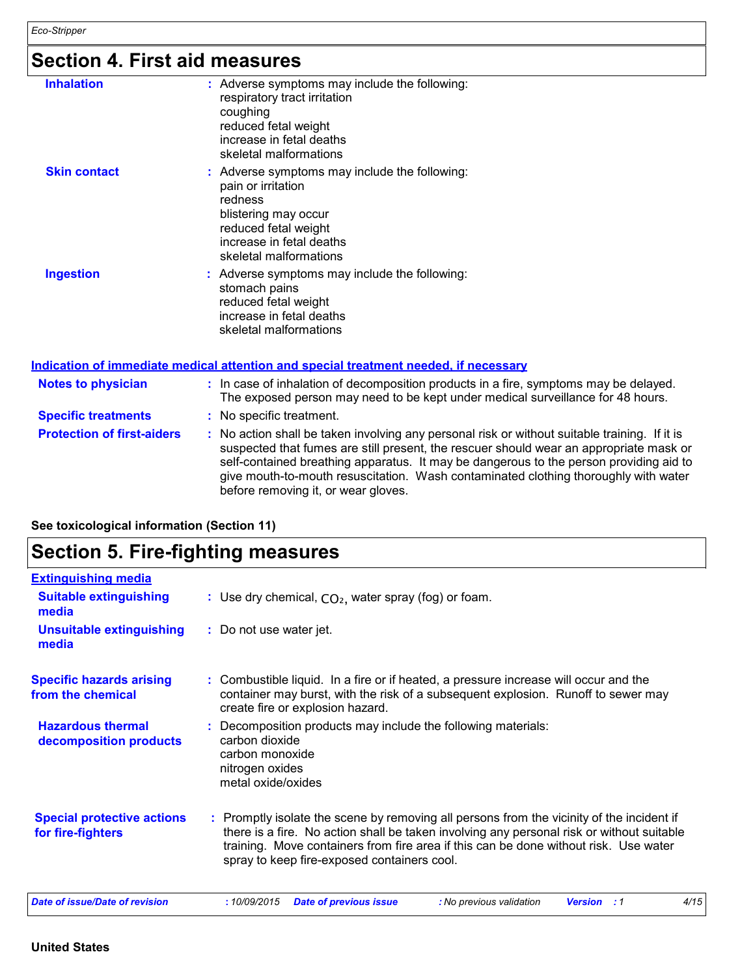### **Section 4. First aid measures**

| <b>Inhalation</b>                 | : Adverse symptoms may include the following:<br>respiratory tract irritation<br>coughing<br>reduced fetal weight<br>increase in fetal deaths<br>skeletal malformations              |
|-----------------------------------|--------------------------------------------------------------------------------------------------------------------------------------------------------------------------------------|
| <b>Skin contact</b>               | : Adverse symptoms may include the following:<br>pain or irritation<br>redness<br>blistering may occur<br>reduced fetal weight<br>increase in fetal deaths<br>skeletal malformations |
| <b>Ingestion</b>                  | : Adverse symptoms may include the following:<br>stomach pains<br>reduced fetal weight<br>increase in fetal deaths<br>skeletal malformations                                         |
|                                   | <u>Indication of immediate medical attention and special treatment needed, if necessary</u>                                                                                          |
| <b>Notes to physician</b>         | : In case of inhalation of decomposition products in a fire, symptoms may be delayed.<br>The exposed person may need to be kept under medical surveillance for 48 hours.             |
| <b>Specific treatments</b>        | : No specific treatment.                                                                                                                                                             |
| <b>Protection of first-aiders</b> | : No action shall be taken involving any personal risk or without suitable training. If it is<br>suspected that fumes are still present, the rescuer should wear an appropriate mask |

**be training.** If it is propriate mask or self-contained breathing apparatus. It may be dangerous to the person providing aid to give mouth-to-mouth resuscitation. Wash contaminated clothing thoroughly with water before removing it, or wear gloves.

| See toxicological information (Section 11) |  |  |
|--------------------------------------------|--|--|

### **Section 5. Fire-fighting measures**

| <b>Extinguishing media</b>                             |                                                                                                                                                                                                                                                                                                                               |
|--------------------------------------------------------|-------------------------------------------------------------------------------------------------------------------------------------------------------------------------------------------------------------------------------------------------------------------------------------------------------------------------------|
| <b>Suitable extinguishing</b><br>media                 | : Use dry chemical, $CO2$ , water spray (fog) or foam.                                                                                                                                                                                                                                                                        |
| <b>Unsuitable extinguishing</b><br>media               | : Do not use water jet.                                                                                                                                                                                                                                                                                                       |
| <b>Specific hazards arising</b><br>from the chemical   | : Combustible liquid. In a fire or if heated, a pressure increase will occur and the<br>container may burst, with the risk of a subsequent explosion. Runoff to sewer may<br>create fire or explosion hazard.                                                                                                                 |
| <b>Hazardous thermal</b><br>decomposition products     | : Decomposition products may include the following materials:<br>carbon dioxide<br>carbon monoxide<br>nitrogen oxides<br>metal oxide/oxides                                                                                                                                                                                   |
| <b>Special protective actions</b><br>for fire-fighters | : Promptly isolate the scene by removing all persons from the vicinity of the incident if<br>there is a fire. No action shall be taken involving any personal risk or without suitable<br>training. Move containers from fire area if this can be done without risk. Use water<br>spray to keep fire-exposed containers cool. |
| <b>Date of issue/Date of revision</b>                  | 4/15<br>:10/09/2015<br><b>Date of previous issue</b><br>: No previous validation<br><b>Version</b> : 1                                                                                                                                                                                                                        |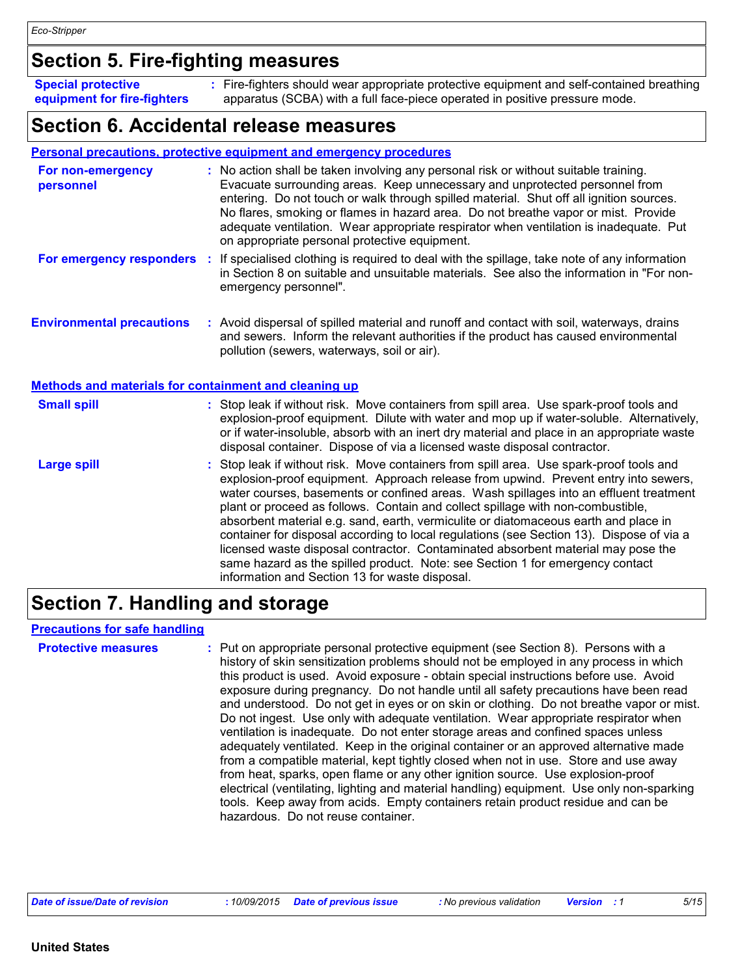### **Section 5. Fire-fighting measures**

Fire-fighters should wear appropriate protective equipment and self-contained breathing **:** apparatus (SCBA) with a full face-piece operated in positive pressure mode. **Special protective equipment for fire-fighters**

### **Section 6. Accidental release measures**

#### **Personal precautions, protective equipment and emergency procedures**

| For non-emergency<br>personnel                               |                                                                                                                                                                                                                                 | : No action shall be taken involving any personal risk or without suitable training.<br>Evacuate surrounding areas. Keep unnecessary and unprotected personnel from<br>entering. Do not touch or walk through spilled material. Shut off all ignition sources.<br>No flares, smoking or flames in hazard area. Do not breathe vapor or mist. Provide<br>adequate ventilation. Wear appropriate respirator when ventilation is inadequate. Put<br>on appropriate personal protective equipment.                                                                                                                                                                                                                                                                       |  |
|--------------------------------------------------------------|---------------------------------------------------------------------------------------------------------------------------------------------------------------------------------------------------------------------------------|----------------------------------------------------------------------------------------------------------------------------------------------------------------------------------------------------------------------------------------------------------------------------------------------------------------------------------------------------------------------------------------------------------------------------------------------------------------------------------------------------------------------------------------------------------------------------------------------------------------------------------------------------------------------------------------------------------------------------------------------------------------------|--|
| For emergency responders :                                   | If specialised clothing is required to deal with the spillage, take note of any information<br>in Section 8 on suitable and unsuitable materials. See also the information in "For non-<br>emergency personnel".                |                                                                                                                                                                                                                                                                                                                                                                                                                                                                                                                                                                                                                                                                                                                                                                      |  |
| <b>Environmental precautions</b>                             | : Avoid dispersal of spilled material and runoff and contact with soil, waterways, drains<br>and sewers. Inform the relevant authorities if the product has caused environmental<br>pollution (sewers, waterways, soil or air). |                                                                                                                                                                                                                                                                                                                                                                                                                                                                                                                                                                                                                                                                                                                                                                      |  |
| <b>Methods and materials for containment and cleaning up</b> |                                                                                                                                                                                                                                 |                                                                                                                                                                                                                                                                                                                                                                                                                                                                                                                                                                                                                                                                                                                                                                      |  |
| <b>Small spill</b>                                           |                                                                                                                                                                                                                                 | : Stop leak if without risk. Move containers from spill area. Use spark-proof tools and<br>explosion-proof equipment. Dilute with water and mop up if water-soluble. Alternatively,<br>or if water-insoluble, absorb with an inert dry material and place in an appropriate waste<br>disposal container. Dispose of via a licensed waste disposal contractor.                                                                                                                                                                                                                                                                                                                                                                                                        |  |
| <b>Large spill</b>                                           |                                                                                                                                                                                                                                 | : Stop leak if without risk. Move containers from spill area. Use spark-proof tools and<br>explosion-proof equipment. Approach release from upwind. Prevent entry into sewers,<br>water courses, basements or confined areas. Wash spillages into an effluent treatment<br>plant or proceed as follows. Contain and collect spillage with non-combustible,<br>absorbent material e.g. sand, earth, vermiculite or diatomaceous earth and place in<br>container for disposal according to local regulations (see Section 13). Dispose of via a<br>licensed waste disposal contractor. Contaminated absorbent material may pose the<br>same hazard as the spilled product. Note: see Section 1 for emergency contact<br>information and Section 13 for waste disposal. |  |

### **Section 7. Handling and storage**

#### **Precautions for safe handling**

**Protective measures** : Put on appropriate personal protective equipment (see Section 8). Persons with a **Protestion** history of skin sensitization problems should not be employed in any process in which this product is used. Avoid exposure - obtain special instructions before use. Avoid exposure during pregnancy. Do not handle until all safety precautions have been read and understood. Do not get in eyes or on skin or clothing. Do not breathe vapor or mist. Do not ingest. Use only with adequate ventilation. Wear appropriate respirator when ventilation is inadequate. Do not enter storage areas and confined spaces unless adequately ventilated. Keep in the original container or an approved alternative made from a compatible material, kept tightly closed when not in use. Store and use away from heat, sparks, open flame or any other ignition source. Use explosion-proof electrical (ventilating, lighting and material handling) equipment. Use only non-sparking tools. Keep away from acids. Empty containers retain product residue and can be hazardous. Do not reuse container.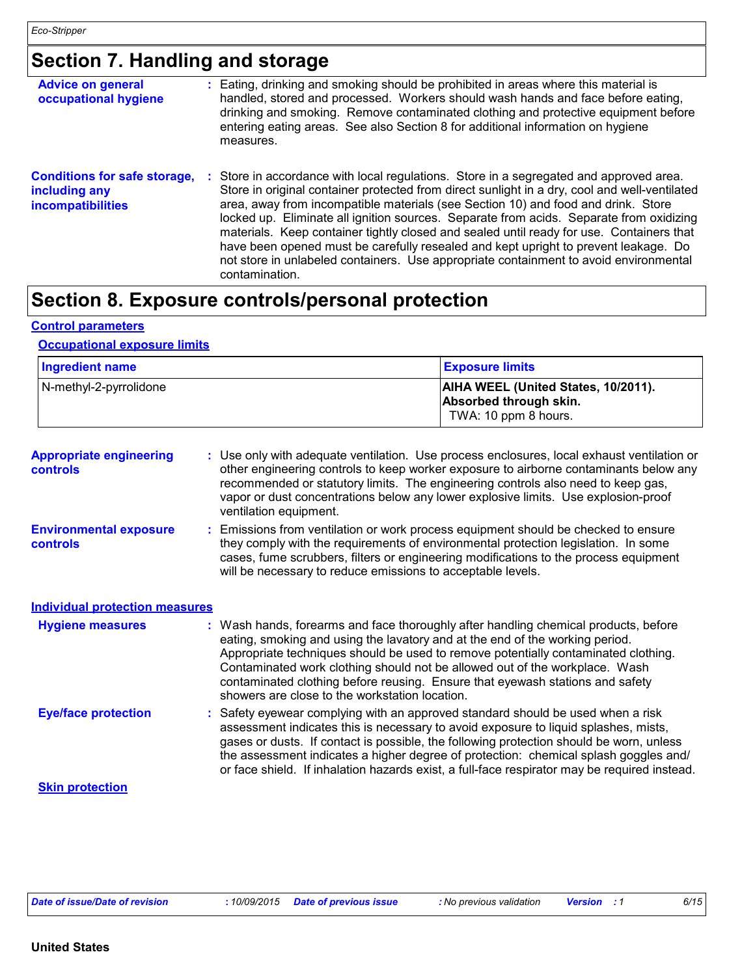### **Section 7. Handling and storage**

| <b>Advice on general</b><br>occupational hygiene                                 | : Eating, drinking and smoking should be prohibited in areas where this material is<br>handled, stored and processed. Workers should wash hands and face before eating,<br>drinking and smoking. Remove contaminated clothing and protective equipment before<br>entering eating areas. See also Section 8 for additional information on hygiene<br>measures.                                                                                                                                                                                                                                                                                                         |
|----------------------------------------------------------------------------------|-----------------------------------------------------------------------------------------------------------------------------------------------------------------------------------------------------------------------------------------------------------------------------------------------------------------------------------------------------------------------------------------------------------------------------------------------------------------------------------------------------------------------------------------------------------------------------------------------------------------------------------------------------------------------|
| <b>Conditions for safe storage,</b><br>including any<br><b>incompatibilities</b> | : Store in accordance with local regulations. Store in a segregated and approved area.<br>Store in original container protected from direct sunlight in a dry, cool and well-ventilated<br>area, away from incompatible materials (see Section 10) and food and drink. Store<br>locked up. Eliminate all ignition sources. Separate from acids. Separate from oxidizing<br>materials. Keep container tightly closed and sealed until ready for use. Containers that<br>have been opened must be carefully resealed and kept upright to prevent leakage. Do<br>not store in unlabeled containers. Use appropriate containment to avoid environmental<br>contamination. |

### **Section 8. Exposure controls/personal protection**

#### **Control parameters**

#### **Occupational exposure limits**

| <b>Ingredient name</b> | <b>Exposure limits</b>                                                                |
|------------------------|---------------------------------------------------------------------------------------|
| N-methyl-2-pyrrolidone | AIHA WEEL (United States, 10/2011).<br>Absorbed through skin.<br>TWA: 10 ppm 8 hours. |

| <b>Appropriate engineering</b><br><b>controls</b> | : Use only with adequate ventilation. Use process enclosures, local exhaust ventilation or<br>other engineering controls to keep worker exposure to airborne contaminants below any<br>recommended or statutory limits. The engineering controls also need to keep gas,<br>vapor or dust concentrations below any lower explosive limits. Use explosion-proof<br>ventilation equipment.                                                                                     |
|---------------------------------------------------|-----------------------------------------------------------------------------------------------------------------------------------------------------------------------------------------------------------------------------------------------------------------------------------------------------------------------------------------------------------------------------------------------------------------------------------------------------------------------------|
| <b>Environmental exposure</b><br><b>controls</b>  | : Emissions from ventilation or work process equipment should be checked to ensure<br>they comply with the requirements of environmental protection legislation. In some<br>cases, fume scrubbers, filters or engineering modifications to the process equipment<br>will be necessary to reduce emissions to acceptable levels.                                                                                                                                             |
| <b>Individual protection measures</b>             |                                                                                                                                                                                                                                                                                                                                                                                                                                                                             |
| <b>Hygiene measures</b>                           | : Wash hands, forearms and face thoroughly after handling chemical products, before<br>eating, smoking and using the lavatory and at the end of the working period.<br>Appropriate techniques should be used to remove potentially contaminated clothing.<br>Contaminated work clothing should not be allowed out of the workplace. Wash<br>contaminated clothing before reusing. Ensure that eyewash stations and safety<br>showers are close to the workstation location. |
| <b>Eye/face protection</b>                        | : Safety eyewear complying with an approved standard should be used when a risk<br>assessment indicates this is necessary to avoid exposure to liquid splashes, mists,<br>gases or dusts. If contact is possible, the following protection should be worn, unless<br>the assessment indicates a higher degree of protection: chemical splash goggles and/                                                                                                                   |

**Skin protection**

or face shield. If inhalation hazards exist, a full-face respirator may be required instead.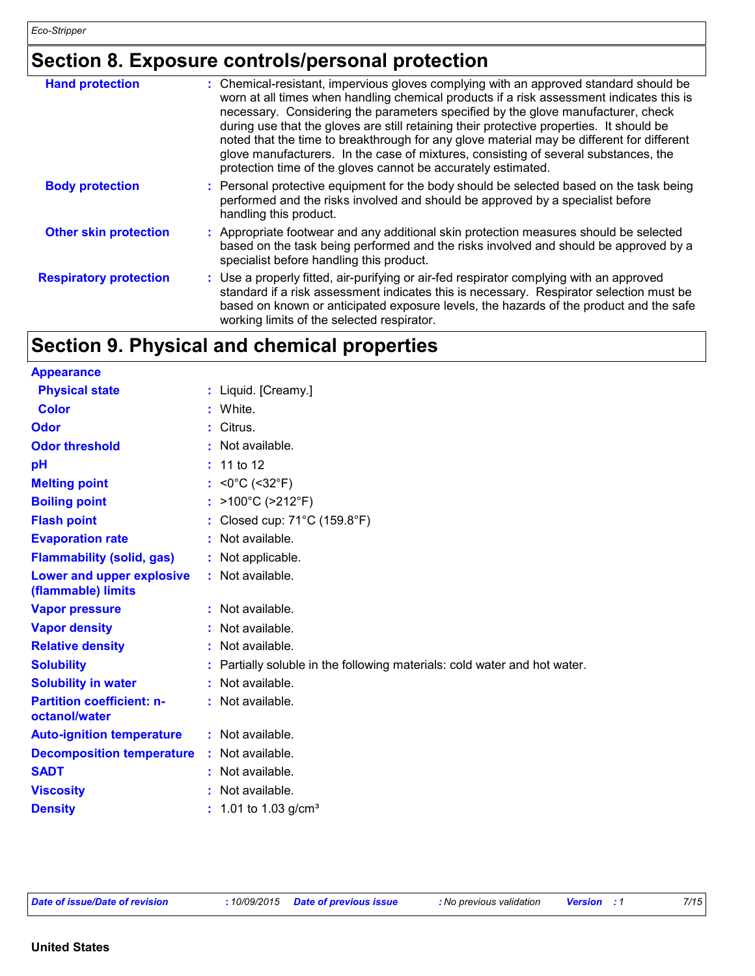### **Section 8. Exposure controls/personal protection**

| <b>Hand protection</b>        | : Chemical-resistant, impervious gloves complying with an approved standard should be<br>worn at all times when handling chemical products if a risk assessment indicates this is<br>necessary. Considering the parameters specified by the glove manufacturer, check<br>during use that the gloves are still retaining their protective properties. It should be<br>noted that the time to breakthrough for any glove material may be different for different<br>glove manufacturers. In the case of mixtures, consisting of several substances, the<br>protection time of the gloves cannot be accurately estimated. |
|-------------------------------|------------------------------------------------------------------------------------------------------------------------------------------------------------------------------------------------------------------------------------------------------------------------------------------------------------------------------------------------------------------------------------------------------------------------------------------------------------------------------------------------------------------------------------------------------------------------------------------------------------------------|
| <b>Body protection</b>        | : Personal protective equipment for the body should be selected based on the task being<br>performed and the risks involved and should be approved by a specialist before<br>handling this product.                                                                                                                                                                                                                                                                                                                                                                                                                    |
| <b>Other skin protection</b>  | : Appropriate footwear and any additional skin protection measures should be selected<br>based on the task being performed and the risks involved and should be approved by a<br>specialist before handling this product.                                                                                                                                                                                                                                                                                                                                                                                              |
| <b>Respiratory protection</b> | : Use a properly fitted, air-purifying or air-fed respirator complying with an approved<br>standard if a risk assessment indicates this is necessary. Respirator selection must be<br>based on known or anticipated exposure levels, the hazards of the product and the safe<br>working limits of the selected respirator.                                                                                                                                                                                                                                                                                             |

### **Section 9. Physical and chemical properties**

| <b>Appearance</b>                                 |                                                                         |
|---------------------------------------------------|-------------------------------------------------------------------------|
| <b>Physical state</b>                             | : Liquid. [Creamy.]                                                     |
| <b>Color</b>                                      | White.                                                                  |
| Odor                                              | Citrus.                                                                 |
| <b>Odor threshold</b>                             | : Not available.                                                        |
| pH                                                | : 11 to 12                                                              |
| <b>Melting point</b>                              | : < $0^{\circ}$ C (< $32^{\circ}$ F)                                    |
| <b>Boiling point</b>                              | : >100°C (>212°F)                                                       |
| <b>Flash point</b>                                | Closed cup: $71^{\circ}$ C (159.8 $^{\circ}$ F)                         |
| <b>Evaporation rate</b>                           | : Not available.                                                        |
| <b>Flammability (solid, gas)</b>                  | : Not applicable.                                                       |
| Lower and upper explosive<br>(flammable) limits   | : Not available.                                                        |
| <b>Vapor pressure</b>                             | $:$ Not available.                                                      |
| <b>Vapor density</b>                              | Not available.                                                          |
| <b>Relative density</b>                           | Not available.                                                          |
| <b>Solubility</b>                                 | Partially soluble in the following materials: cold water and hot water. |
| <b>Solubility in water</b>                        | : Not available.                                                        |
| <b>Partition coefficient: n-</b><br>octanol/water | : Not available.                                                        |
| <b>Auto-ignition temperature</b>                  | : Not available.                                                        |
| <b>Decomposition temperature</b>                  | : Not available.                                                        |
| <b>SADT</b>                                       | Not available.                                                          |
| <b>Viscosity</b>                                  | Not available.                                                          |
| <b>Density</b>                                    | 1.01 to 1.03 g/cm <sup>3</sup>                                          |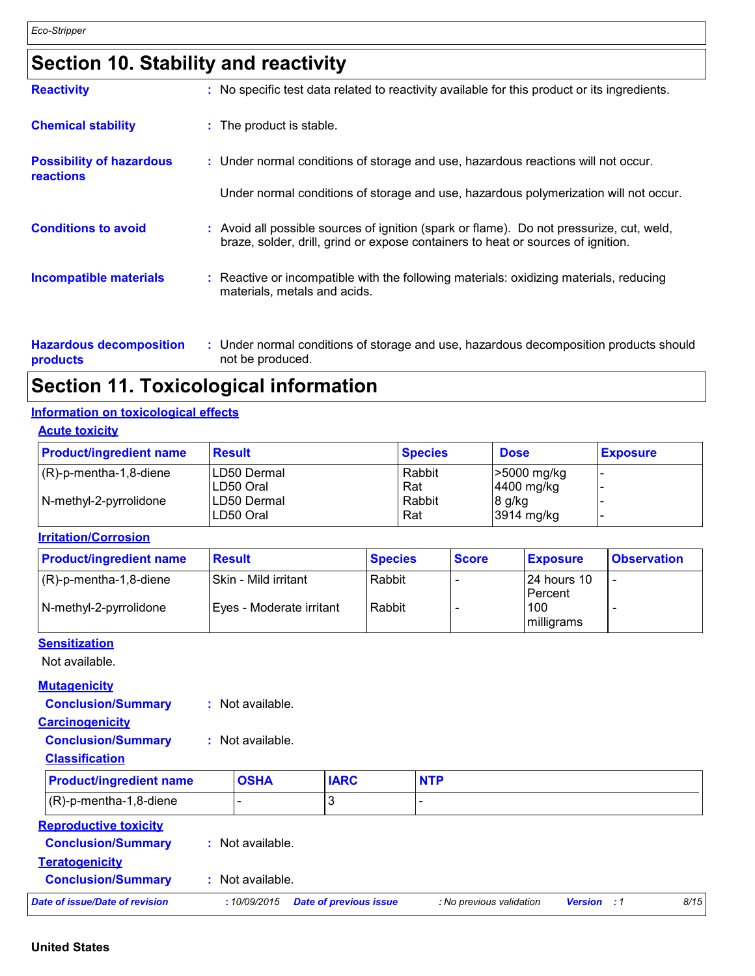### **Section 10. Stability and reactivity**

| <b>Reactivity</b>                                   | : No specific test data related to reactivity available for this product or its ingredients.                                                                                 |
|-----------------------------------------------------|------------------------------------------------------------------------------------------------------------------------------------------------------------------------------|
| <b>Chemical stability</b>                           | : The product is stable.                                                                                                                                                     |
| <b>Possibility of hazardous</b><br><b>reactions</b> | : Under normal conditions of storage and use, hazardous reactions will not occur.                                                                                            |
|                                                     | Under normal conditions of storage and use, hazardous polymerization will not occur.                                                                                         |
| <b>Conditions to avoid</b>                          | : Avoid all possible sources of ignition (spark or flame). Do not pressurize, cut, weld,<br>braze, solder, drill, grind or expose containers to heat or sources of ignition. |
| <b>Incompatible materials</b>                       | : Reactive or incompatible with the following materials: oxidizing materials, reducing<br>materials, metals and acids.                                                       |
|                                                     |                                                                                                                                                                              |

| <b>Hazardous decomposition</b> | Under normal conditions of storage and use, hazardous decomposition products should |
|--------------------------------|-------------------------------------------------------------------------------------|
| <b>products</b>                | not be produced.                                                                    |

### **Section 11. Toxicological information**

#### **Information on toxicological effects**

#### **Acute toxicity**

| <b>Product/ingredient name</b> | <b>Result</b>              | <b>Species</b> | <b>Dose</b>                     | <b>Exposure</b> |
|--------------------------------|----------------------------|----------------|---------------------------------|-----------------|
| $(R)-p$ -mentha-1,8-diene      | ILD50 Dermal<br>ILD50 Oral | Rabbit<br>Rat  | $\geq 5000$ mg/kg<br>4400 mg/kg |                 |
| N-methyl-2-pyrrolidone         | ILD50 Dermal<br>ILD50 Oral | Rabbit<br>Rat  | 8 g/kg<br>3914 mg/kg            |                 |

#### **Irritation/Corrosion**

| <b>Product/ingredient name</b>         | <b>Result</b>            | <b>Species</b> | <b>Score</b> | <b>Exposure</b>           | <b>Observation</b> |
|----------------------------------------|--------------------------|----------------|--------------|---------------------------|--------------------|
| $(R)-p$ -mentha-1,8-diene              | l Skin - Mild irritant   | Rabbit         |              | I24 hours 10<br>l Percent |                    |
| $\sqrt{\frac{N-methyl-2-pyr}$ rolidone | Eyes - Moderate irritant | Rabbit         |              | 100                       |                    |
|                                        |                          |                |              | milligrams                |                    |

#### **Sensitization**

Not available.

#### **Mutagenicity**

| <b>Conclusion/Summary</b> | Not available. |
|---------------------------|----------------|
|---------------------------|----------------|

#### **Carcinogenicity**

**Conclusion/Summary :** Not available.

#### **Classification**

| <b>Product/ingredient name</b> | <b>OSHA</b>    | <b>IARC</b> | <b>NTP</b> |  |
|--------------------------------|----------------|-------------|------------|--|
| $(R)-p$ -mentha-1,8-diene      | -              |             |            |  |
| <b>Reproductive toxicity</b>   |                |             |            |  |
| <b>Conclusion/Summary</b>      | Not available. |             |            |  |

| <b>Conclusion/Summary</b>      | Not available. |                                     |                          |                    |      |
|--------------------------------|----------------|-------------------------------------|--------------------------|--------------------|------|
| Date of issue/Date of revision |                | : 10/09/2015 Date of previous issue | : No previous validation | <b>Version</b> : 1 | 8/15 |

#### **United States**

**Teratogenicity**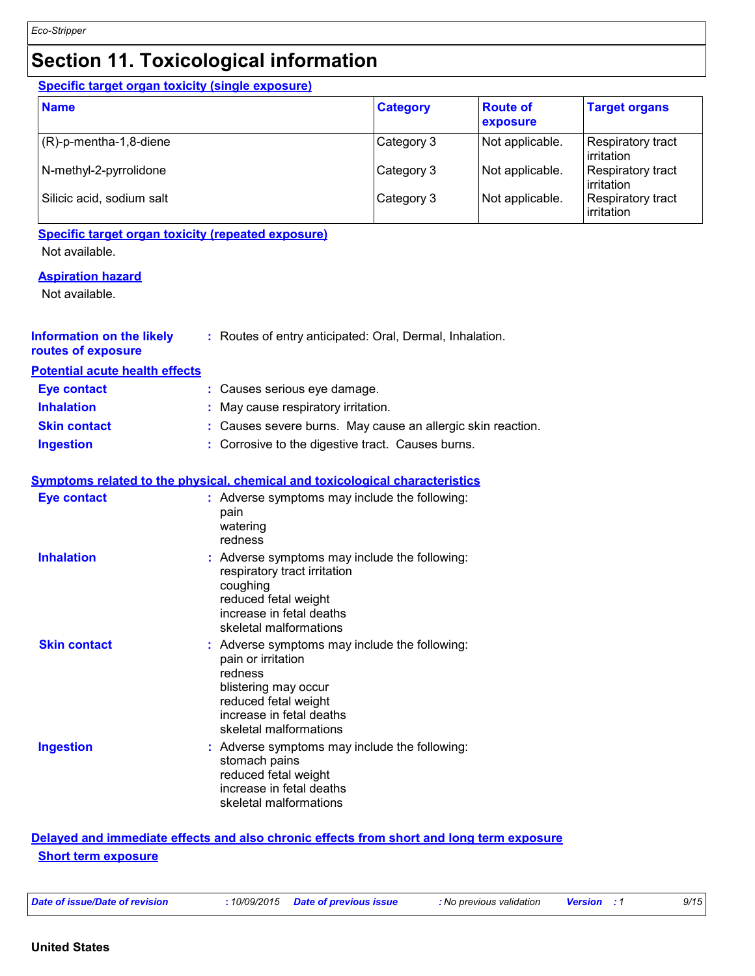### **Section 11. Toxicological information**

#### **Specific target organ toxicity (single exposure)**

| <b>Name</b>               | <b>Category</b> | <b>Route of</b><br>exposure | <b>Target organs</b>                    |
|---------------------------|-----------------|-----------------------------|-----------------------------------------|
| $(R)-p$ -mentha-1,8-diene | Category 3      | Not applicable.             | Respiratory tract<br><b>lirritation</b> |
| N-methyl-2-pyrrolidone    | Category 3      | Not applicable.             | Respiratory tract<br><b>lirritation</b> |
| Silicic acid, sodium salt | Category 3      | Not applicable.             | <b>Respiratory tract</b><br>irritation  |

### **Specific target organ toxicity (repeated exposure)**

Not available.

#### **Aspiration hazard**

Not available.

| <b>Information on the likely</b><br>routes of exposure | : Routes of entry anticipated: Oral, Dermal, Inhalation.                                                                                                                             |
|--------------------------------------------------------|--------------------------------------------------------------------------------------------------------------------------------------------------------------------------------------|
| <b>Potential acute health effects</b>                  |                                                                                                                                                                                      |
| <b>Eye contact</b>                                     | : Causes serious eye damage.                                                                                                                                                         |
| <b>Inhalation</b>                                      | May cause respiratory irritation.                                                                                                                                                    |
| <b>Skin contact</b>                                    | : Causes severe burns. May cause an allergic skin reaction.                                                                                                                          |
| <b>Ingestion</b>                                       | : Corrosive to the digestive tract. Causes burns.                                                                                                                                    |
|                                                        | <b>Symptoms related to the physical, chemical and toxicological characteristics</b>                                                                                                  |
| <b>Eye contact</b>                                     | : Adverse symptoms may include the following:<br>pain<br>watering<br>redness                                                                                                         |
| <b>Inhalation</b>                                      | : Adverse symptoms may include the following:<br>respiratory tract irritation<br>coughing<br>reduced fetal weight<br>increase in fetal deaths<br>skeletal malformations              |
| <b>Skin contact</b>                                    | : Adverse symptoms may include the following:<br>pain or irritation<br>redness<br>blistering may occur<br>reduced fetal weight<br>increase in fetal deaths<br>skeletal malformations |
| <b>Ingestion</b>                                       | : Adverse symptoms may include the following:<br>stomach pains<br>reduced fetal weight<br>increase in fetal deaths<br>skeletal malformations                                         |

#### **Delayed and immediate effects and also chronic effects from short and long term exposure Short term exposure**

|  |  |  |  | Date of issue/Date of revision |
|--|--|--|--|--------------------------------|
|--|--|--|--|--------------------------------|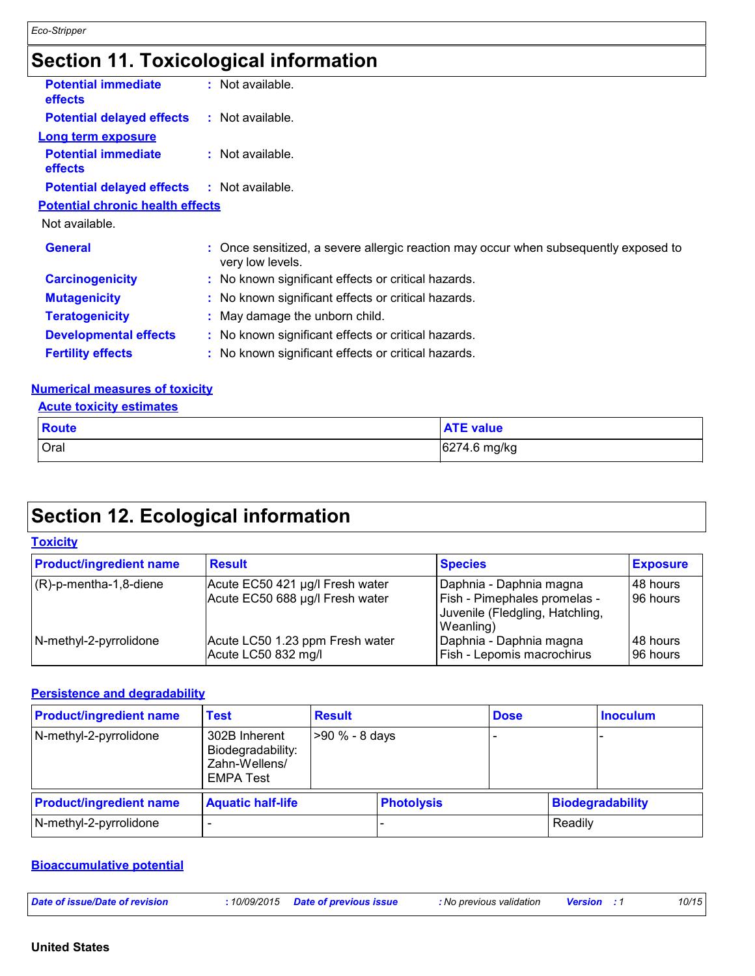## **Section 11. Toxicological information**

| <b>Potential immediate</b><br>effects        | $:$ Not available.                                                                                       |
|----------------------------------------------|----------------------------------------------------------------------------------------------------------|
| <b>Potential delayed effects</b>             | $:$ Not available.                                                                                       |
| <b>Long term exposure</b>                    |                                                                                                          |
| <b>Potential immediate</b><br><b>effects</b> | $:$ Not available.                                                                                       |
| <b>Potential delayed effects</b>             | : Not available.                                                                                         |
| <b>Potential chronic health effects</b>      |                                                                                                          |
| Not available.                               |                                                                                                          |
| <b>General</b>                               | : Once sensitized, a severe allergic reaction may occur when subsequently exposed to<br>very low levels. |
| <b>Carcinogenicity</b>                       | : No known significant effects or critical hazards.                                                      |
| <b>Mutagenicity</b>                          | : No known significant effects or critical hazards.                                                      |
| <b>Teratogenicity</b>                        | : May damage the unborn child.                                                                           |
| <b>Developmental effects</b>                 | : No known significant effects or critical hazards.                                                      |
| <b>Fertility effects</b>                     | : No known significant effects or critical hazards.                                                      |

#### **Numerical measures of toxicity**

#### **Acute toxicity estimates**

| <b>Route</b> | <b>ATE value</b> |
|--------------|------------------|
| Oral         | 6274.6 mg/kg     |

### **Section 12. Ecological information**

|--|

| <b>Product/ingredient name</b> | <b>Result</b>                                                      | <b>Species</b>                                                                                            | <b>Exposure</b>        |
|--------------------------------|--------------------------------------------------------------------|-----------------------------------------------------------------------------------------------------------|------------------------|
| $(R)-p$ -mentha-1,8-diene      | Acute EC50 421 µg/l Fresh water<br>Acute EC50 688 µg/l Fresh water | Daphnia - Daphnia magna<br>  Fish - Pimephales promelas -<br>Juvenile (Fledgling, Hatchling,<br>Weanling) | 148 hours<br>196 hours |
| N-methyl-2-pyrrolidone         | Acute LC50 1.23 ppm Fresh water<br>Acute LC50 832 mg/l             | Daphnia - Daphnia magna<br>Fish - Lepomis macrochirus                                                     | 148 hours<br>196 hours |

#### **Persistence and degradability**

| <b>Product/ingredient name</b> | Test                                                                    | <b>Result</b>  |                   | <b>Dose</b> |         | <b>Inoculum</b>         |
|--------------------------------|-------------------------------------------------------------------------|----------------|-------------------|-------------|---------|-------------------------|
| N-methyl-2-pyrrolidone         | 302B Inherent<br>Biodegradability:<br>Zahn-Wellens/<br><b>EMPA Test</b> | >90 % - 8 days |                   |             |         |                         |
| <b>Product/ingredient name</b> | <b>Aquatic half-life</b>                                                |                | <b>Photolysis</b> |             |         | <b>Biodegradability</b> |
| N-methyl-2-pyrrolidone         |                                                                         |                |                   |             | Readily |                         |

#### **Bioaccumulative potential**

| 10/15<br>Date of issue/Date of revision<br>10/09/2015<br>Date of previous issue<br><b>:</b> No previous validation<br><b>Versior</b><br>. |
|-------------------------------------------------------------------------------------------------------------------------------------------|
|-------------------------------------------------------------------------------------------------------------------------------------------|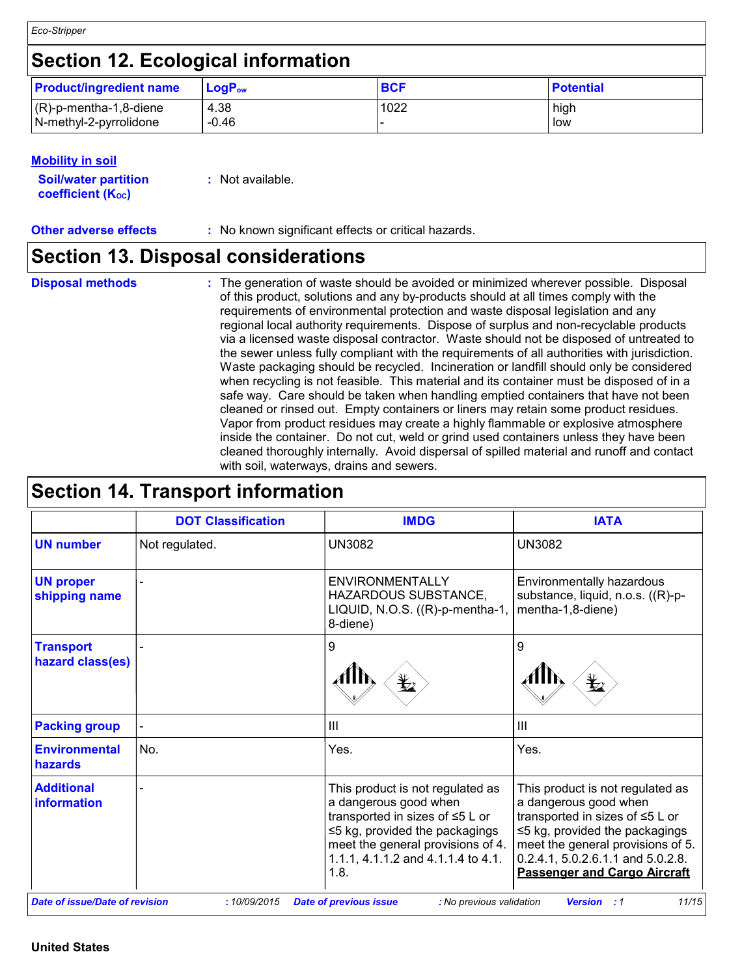*Eco-Stripper*

### **Section 12. Ecological information**

| <b>Product/ingredient name</b> | ∣ LoqP <sub>ow</sub> | <b>BCF</b> | <b>Potential</b> |
|--------------------------------|----------------------|------------|------------------|
| $(R)-p$ -mentha-1,8-diene      | 4.38                 | 1022       | high             |
| N-methyl-2-pyrrolidone         | $-0.46$              |            | low              |

#### **Mobility in soil**

| <b>Soil/water partition</b>    | : Not available. |
|--------------------------------|------------------|
| coefficient (K <sub>oc</sub> ) |                  |

**Other adverse effects** : No known significant effects or critical hazards.

### **Section 13. Disposal considerations**

**Disposal methods :**

The generation of waste should be avoided or minimized wherever possible. Disposal of this product, solutions and any by-products should at all times comply with the requirements of environmental protection and waste disposal legislation and any regional local authority requirements. Dispose of surplus and non-recyclable products via a licensed waste disposal contractor. Waste should not be disposed of untreated to the sewer unless fully compliant with the requirements of all authorities with jurisdiction. Waste packaging should be recycled. Incineration or landfill should only be considered when recycling is not feasible. This material and its container must be disposed of in a safe way. Care should be taken when handling emptied containers that have not been cleaned or rinsed out. Empty containers or liners may retain some product residues. Vapor from product residues may create a highly flammable or explosive atmosphere inside the container. Do not cut, weld or grind used containers unless they have been cleaned thoroughly internally. Avoid dispersal of spilled material and runoff and contact with soil, waterways, drains and sewers.

### **Section 14. Transport information**

|                                       | <b>DOT Classification</b> | <b>IMDG</b>                                                                                                                                                                                                             | <b>IATA</b>                                                                                                                                                                                                                                           |
|---------------------------------------|---------------------------|-------------------------------------------------------------------------------------------------------------------------------------------------------------------------------------------------------------------------|-------------------------------------------------------------------------------------------------------------------------------------------------------------------------------------------------------------------------------------------------------|
| <b>UN number</b>                      | Not regulated.            | <b>UN3082</b>                                                                                                                                                                                                           | <b>UN3082</b>                                                                                                                                                                                                                                         |
| <b>UN proper</b><br>shipping name     |                           | ENVIRONMENTALLY<br>HAZARDOUS SUBSTANCE,<br>LIQUID, N.O.S. ((R)-p-mentha-1,<br>8-diene)                                                                                                                                  | Environmentally hazardous<br>substance, liquid, n.o.s. ((R)-p-<br>mentha-1,8-diene)                                                                                                                                                                   |
| <b>Transport</b><br>hazard class(es)  |                           | 9                                                                                                                                                                                                                       | 9                                                                                                                                                                                                                                                     |
| <b>Packing group</b>                  |                           | $\mathbf{III}$                                                                                                                                                                                                          | $\mathbf{III}$                                                                                                                                                                                                                                        |
| <b>Environmental</b><br>hazards       | No.                       | Yes.                                                                                                                                                                                                                    | Yes.                                                                                                                                                                                                                                                  |
| <b>Additional</b><br>information      |                           | This product is not regulated as<br>a dangerous good when<br>transported in sizes of ≤5 L or<br>$\leq$ 5 kg, provided the packagings<br>meet the general provisions of 4.<br>1.1.1, 4.1.1.2 and 4.1.1.4 to 4.1.<br>1.8. | This product is not regulated as<br>a dangerous good when<br>transported in sizes of ≤5 L or<br>$\leq$ 5 kg, provided the packagings<br>meet the general provisions of 5.<br>0.2.4.1, 5.0.2.6.1.1 and 5.0.2.8.<br><b>Passenger and Cargo Aircraft</b> |
| <b>Date of issue/Date of revision</b> | :10/09/2015               | <b>Date of previous issue</b><br>: No previous validation                                                                                                                                                               | 11/15<br><b>Version</b> : 1                                                                                                                                                                                                                           |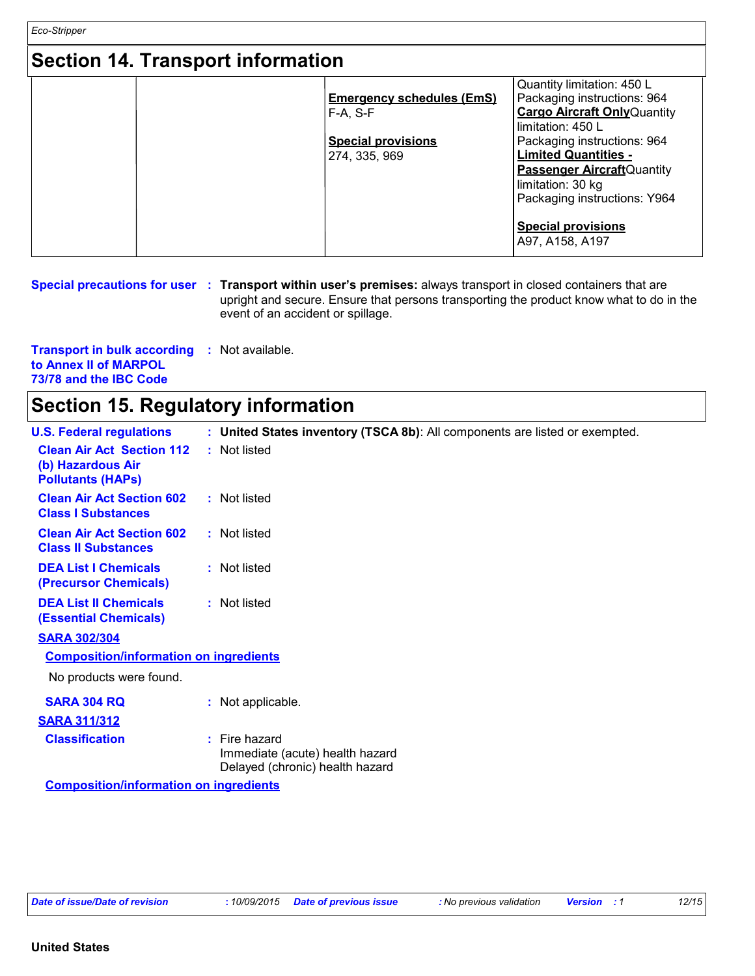*Eco-Stripper*

### **Section 14. Transport information**

| <u>UUULITEITUUDULEIIIUIIIKUUII</u> |                                  |                                     |
|------------------------------------|----------------------------------|-------------------------------------|
|                                    |                                  | Quantity limitation: 450 L          |
|                                    | <b>Emergency schedules (EmS)</b> | Packaging instructions: 964         |
|                                    | $F-A. S-F$                       | <b>Cargo Aircraft Only Quantity</b> |
|                                    |                                  | limitation: 450 L                   |
|                                    | <b>Special provisions</b>        | Packaging instructions: 964         |
|                                    | 274, 335, 969                    | <b>Limited Quantities -</b>         |
|                                    |                                  | <b>Passenger Aircraft</b> Quantity  |
|                                    |                                  | limitation: 30 kg                   |
|                                    |                                  | Packaging instructions: Y964        |
|                                    |                                  | <b>Special provisions</b>           |
|                                    |                                  | A97, A158, A197                     |

**Special precautions for user** : Transport within user's premises: always transport in closed containers that are upright and secure. Ensure that persons transporting the product know what to do in the event of an accident or spillage.

**Transport in bulk according :** Not available. **to Annex II of MARPOL 73/78 and the IBC Code**

### **Section 15. Regulatory information**

| <b>U.S. Federal regulations</b>                                                   |  | : United States inventory (TSCA 8b): All components are listed or exempted.           |  |  |
|-----------------------------------------------------------------------------------|--|---------------------------------------------------------------------------------------|--|--|
| <b>Clean Air Act Section 112</b><br>(b) Hazardous Air<br><b>Pollutants (HAPS)</b> |  | : Not listed                                                                          |  |  |
| <b>Clean Air Act Section 602</b><br><b>Class I Substances</b>                     |  | : Not listed                                                                          |  |  |
| <b>Clean Air Act Section 602</b><br><b>Class II Substances</b>                    |  | : Not listed                                                                          |  |  |
| <b>DEA List I Chemicals</b><br>(Precursor Chemicals)                              |  | : Not listed                                                                          |  |  |
| <b>DEA List II Chemicals</b><br><b>(Essential Chemicals)</b>                      |  | : Not listed                                                                          |  |  |
| <b>SARA 302/304</b>                                                               |  |                                                                                       |  |  |
| <b>Composition/information on ingredients</b>                                     |  |                                                                                       |  |  |
| No products were found.                                                           |  |                                                                                       |  |  |
| <b>SARA 304 RQ</b>                                                                |  | : Not applicable.                                                                     |  |  |
| <b>SARA 311/312</b>                                                               |  |                                                                                       |  |  |
| <b>Classification</b>                                                             |  | $:$ Fire hazard<br>Immediate (acute) health hazard<br>Delayed (chronic) health hazard |  |  |
| <b>Composition/information on ingredients</b>                                     |  |                                                                                       |  |  |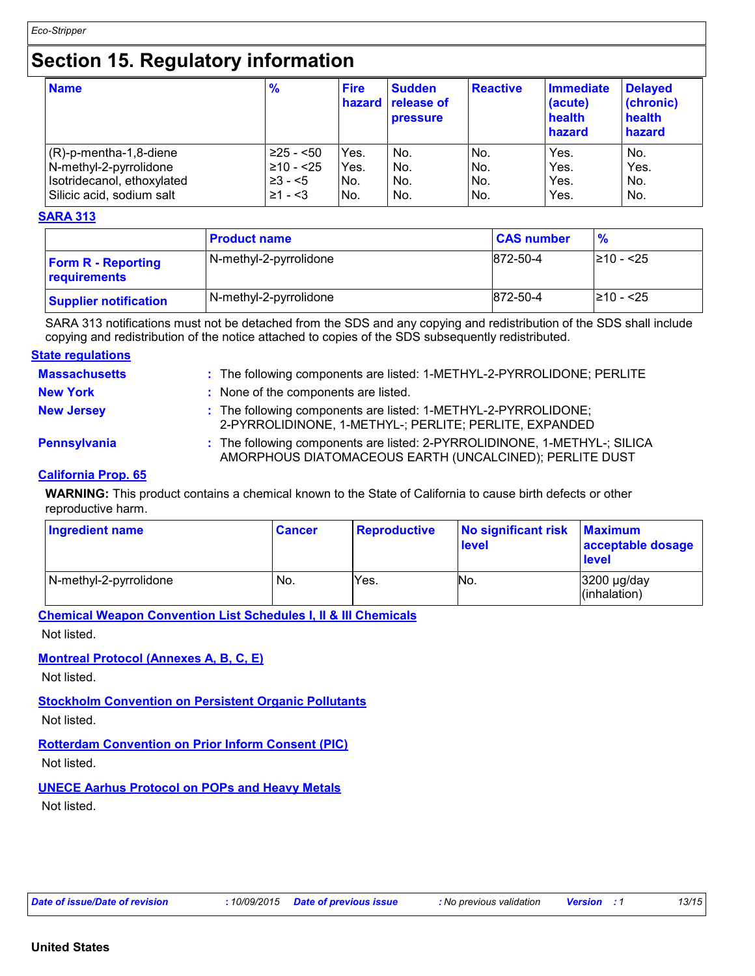### **Section 15. Regulatory information**

| <b>Name</b>                | $\frac{9}{6}$ | <b>Fire</b> | <b>Sudden</b><br><b>hazard</b> release of<br><b>pressure</b> | <b>Reactive</b> | Immediate<br>(acute)<br>health<br>hazard | <b>Delayed</b><br>(chronic)<br>health<br>hazard |
|----------------------------|---------------|-------------|--------------------------------------------------------------|-----------------|------------------------------------------|-------------------------------------------------|
| (R)-p-mentha-1,8-diene     | $≥25 - 50$    | Yes.        | No.                                                          | No.             | Yes.                                     | No.                                             |
| N-methyl-2-pyrrolidone     | ≥10 - <25     | Yes.        | No.                                                          | No.             | Yes.                                     | Yes.                                            |
| Isotridecanol, ethoxylated | $\geq 3 - 5$  | No.         | No.                                                          | No.             | Yes.                                     | No.                                             |
| Silicic acid, sodium salt  | $≥1 - 53$     | No.         | No.                                                          | No.             | Yes.                                     | No.                                             |

#### **SARA 313**

|                                           | <b>Product name</b>    | <b>CAS number</b> | $\frac{9}{6}$  |
|-------------------------------------------|------------------------|-------------------|----------------|
| <b>Form R - Reporting</b><br>requirements | N-methyl-2-pyrrolidone | 872-50-4          | $\geq 10 - 25$ |
| <b>Supplier notification</b>              | N-methyl-2-pyrrolidone | 872-50-4          | $\geq 10 - 25$ |

SARA 313 notifications must not be detached from the SDS and any copying and redistribution of the SDS shall include copying and redistribution of the notice attached to copies of the SDS subsequently redistributed.

#### **State regulations**

| <b>Massachusetts</b> | : The following components are listed: 1-METHYL-2-PYRROLIDONE; PERLITE                                                               |
|----------------------|--------------------------------------------------------------------------------------------------------------------------------------|
| <b>New York</b>      | : None of the components are listed.                                                                                                 |
| <b>New Jersey</b>    | : The following components are listed: 1-METHYL-2-PYRROLIDONE;<br>2-PYRROLIDINONE, 1-METHYL-; PERLITE; PERLITE, EXPANDED             |
| Pennsylvania         | : The following components are listed: 2-PYRROLIDINONE, 1-METHYL-; SILICA<br>AMORPHOUS DIATOMACEOUS EARTH (UNCALCINED); PERLITE DUST |

#### **California Prop. 65**

**WARNING:** This product contains a chemical known to the State of California to cause birth defects or other reproductive harm.

| Ingredient name        | <b>Cancer</b> | <b>Reproductive</b> | No significant risk<br><b>level</b> | <b>Maximum</b><br>acceptable dosage<br>level |
|------------------------|---------------|---------------------|-------------------------------------|----------------------------------------------|
| N-methyl-2-pyrrolidone | No.           | Yes.                | INo.                                | 3200 µg/day<br>(inhalation)                  |

**Chemical Weapon Convention List Schedules I, II & III Chemicals**

Not listed.

#### **Montreal Protocol (Annexes A, B, C, E)**

Not listed.

#### **Stockholm Convention on Persistent Organic Pollutants**

Not listed.

### **Rotterdam Convention on Prior Inform Consent (PIC)**

Not listed.

#### **UNECE Aarhus Protocol on POPs and Heavy Metals**

Not listed.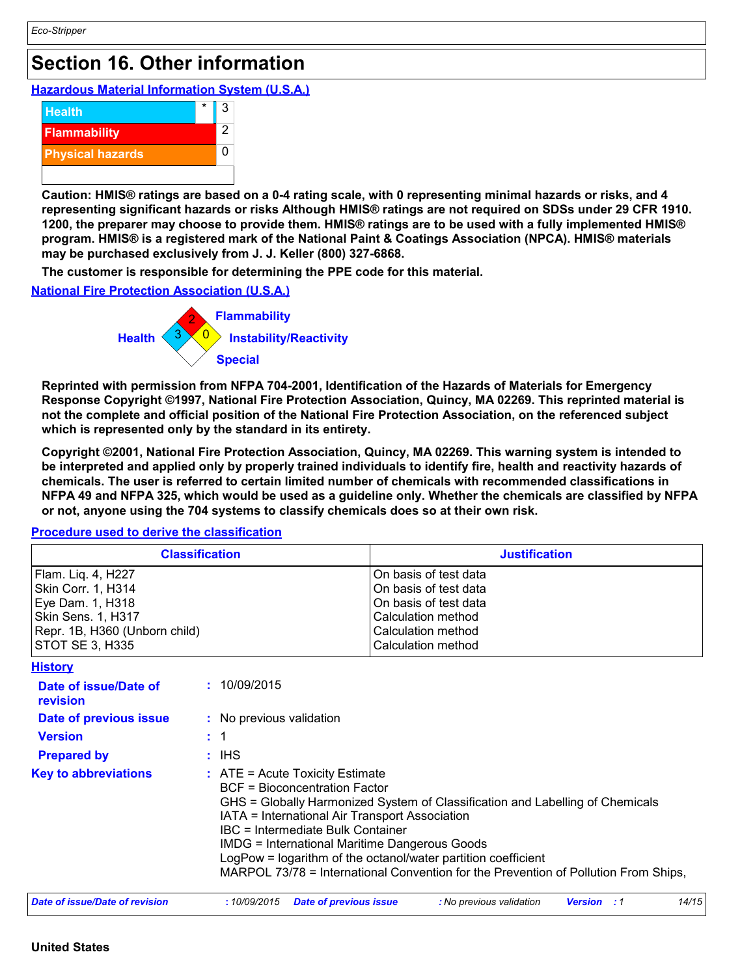### **Section 16. Other information**

**Hazardous Material Information System (U.S.A.)**



**Caution: HMIS® ratings are based on a 0-4 rating scale, with 0 representing minimal hazards or risks, and 4 representing significant hazards or risks Although HMIS® ratings are not required on SDSs under 29 CFR 1910. 1200, the preparer may choose to provide them. HMIS® ratings are to be used with a fully implemented HMIS® program. HMIS® is a registered mark of the National Paint & Coatings Association (NPCA). HMIS® materials may be purchased exclusively from J. J. Keller (800) 327-6868.**

**The customer is responsible for determining the PPE code for this material.**

**National Fire Protection Association (U.S.A.)**



**Reprinted with permission from NFPA 704-2001, Identification of the Hazards of Materials for Emergency Response Copyright ©1997, National Fire Protection Association, Quincy, MA 02269. This reprinted material is not the complete and official position of the National Fire Protection Association, on the referenced subject which is represented only by the standard in its entirety.**

**Copyright ©2001, National Fire Protection Association, Quincy, MA 02269. This warning system is intended to be interpreted and applied only by properly trained individuals to identify fire, health and reactivity hazards of chemicals. The user is referred to certain limited number of chemicals with recommended classifications in NFPA 49 and NFPA 325, which would be used as a guideline only. Whether the chemicals are classified by NFPA or not, anyone using the 704 systems to classify chemicals does so at their own risk.**

### **Classification Justification** Flam. Liq. 4, H227 **On basis of test data** Skin Corr. 1, H314 **On basis of test data** Eye Dam. 1, H318 **Consults and Solution Consults and Solution Consults and On basis of test data**<br>
Calculation method Skin Sens. 1, H317 Repr. 1B, H360 (Unborn child) Calculation method STOT SE 3, H335 Calculation method

#### **Procedure used to derive the classification**

| <b>History</b>                    |                                                                                                                                                                                                                                                                                                                                                                                                                                                                            |
|-----------------------------------|----------------------------------------------------------------------------------------------------------------------------------------------------------------------------------------------------------------------------------------------------------------------------------------------------------------------------------------------------------------------------------------------------------------------------------------------------------------------------|
| Date of issue/Date of<br>revision | : 10/09/2015                                                                                                                                                                                                                                                                                                                                                                                                                                                               |
| Date of previous issue            | : No previous validation                                                                                                                                                                                                                                                                                                                                                                                                                                                   |
| <b>Version</b>                    |                                                                                                                                                                                                                                                                                                                                                                                                                                                                            |
| <b>Prepared by</b>                | : IHS                                                                                                                                                                                                                                                                                                                                                                                                                                                                      |
| <b>Key to abbreviations</b>       | $\therefore$ ATE = Acute Toxicity Estimate<br><b>BCF</b> = Bioconcentration Factor<br>GHS = Globally Harmonized System of Classification and Labelling of Chemicals<br>IATA = International Air Transport Association<br>IBC = Intermediate Bulk Container<br><b>IMDG = International Maritime Dangerous Goods</b><br>LogPow = logarithm of the octanol/water partition coefficient<br>MARPOL 73/78 = International Convention for the Prevention of Pollution From Ships, |
| Date of issue/Date of revision    | 14/15<br>:10/09/2015<br><b>Date of previous issue</b><br>: No previous validation<br><b>Version</b><br>. . 1                                                                                                                                                                                                                                                                                                                                                               |